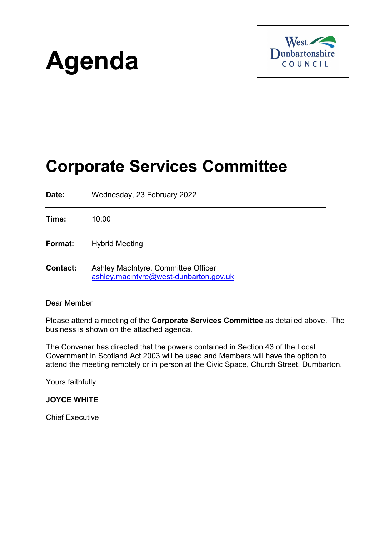# **Agenda**



## **Corporate Services Committee**

**Date:** Wednesday, 23 February 2022 **Time:** 10:00 **Format:** Hybrid Meeting **Contact:** Ashley MacIntyre, Committee Officer [ashley.macintyre@west-dunbarton.gov.uk](mailto:ashley.macintyre@west-dunbarton.gov.uk)

#### Dear Member

Please attend a meeting of the **Corporate Services Committee** as detailed above. The business is shown on the attached agenda.

The Convener has directed that the powers contained in Section 43 of the Local Government in Scotland Act 2003 will be used and Members will have the option to attend the meeting remotely or in person at the Civic Space, Church Street, Dumbarton.

Yours faithfully

**JOYCE WHITE**

Chief Executive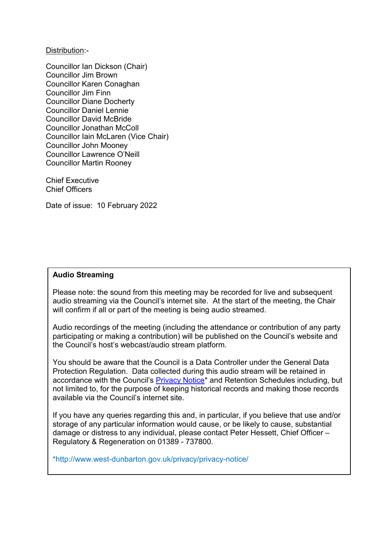Distribution:-

Councillor Ian Dickson (Chair) Councillor Jim Brown Councillor Karen Conaghan Councillor Jim Finn Councillor Diane Docherty Councillor Daniel Lennie Councillor David McBride Councillor Jonathan McColl Councillor Iain McLaren (Vice Chair) Councillor John Mooney Councillor Lawrence O'Neill Councillor Martin Rooney

Chief Executive Chief Officers

Date of issue: 10 February 2022

#### **Audio Streaming**

Please note: the sound from this meeting may be recorded for live and subsequent audio streaming via the Council's internet site. At the start of the meeting, the Chair will confirm if all or part of the meeting is being audio streamed.

Audio recordings of the meeting (including the attendance or contribution of any party participating or making a contribution) will be published on the Council's website and the Council's host's webcast/audio stream platform.

You should be aware that the Council is a Data Controller under the General Data Protection Regulation. Data collected during this audio stream will be retained in accordance with the Council's [Privacy Notice\\*](http://www.west-dunbarton.gov.uk/privacy/privacy-notice/) and Retention Schedules including, but not limited to, for the purpose of keeping historical records and making those records available via the Council's internet site.

If you have any queries regarding this and, in particular, if you believe that use and/or storage of any particular information would cause, or be likely to cause, substantial damage or distress to any individual, please contact Peter Hessett, Chief Officer – Regulatory & Regeneration on 01389 - 737800.

\*http://www.west-dunbarton.gov.uk/privacy/privacy-notice/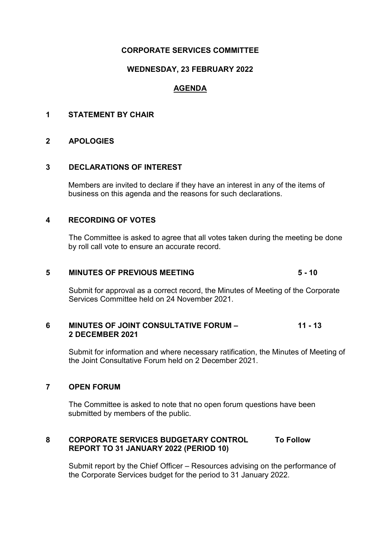#### **CORPORATE SERVICES COMMITTEE**

#### **WEDNESDAY, 23 FEBRUARY 2022**

### **AGENDA**

#### **1 STATEMENT BY CHAIR**

#### **2 APOLOGIES**

#### **3 DECLARATIONS OF INTEREST**

Members are invited to declare if they have an interest in any of the items of business on this agenda and the reasons for such declarations.

#### **4 RECORDING OF VOTES**

The Committee is asked to agree that all votes taken during the meeting be done by roll call vote to ensure an accurate record.

#### **5 MINUTES OF PREVIOUS MEETING 5 - 10**

Submit for approval as a correct record, the Minutes of Meeting of the Corporate Services Committee held on 24 November 2021.

#### **6 MINUTES OF JOINT CONSULTATIVE FORUM – 11 - 13 2 DECEMBER 2021**

Submit for information and where necessary ratification, the Minutes of Meeting of the Joint Consultative Forum held on 2 December 2021.

#### **7 OPEN FORUM**

The Committee is asked to note that no open forum questions have been submitted by members of the public.

#### **8 CORPORATE SERVICES BUDGETARY CONTROL To Follow REPORT TO 31 JANUARY 2022 (PERIOD 10)**

Submit report by the Chief Officer – Resources advising on the performance of the Corporate Services budget for the period to 31 January 2022.